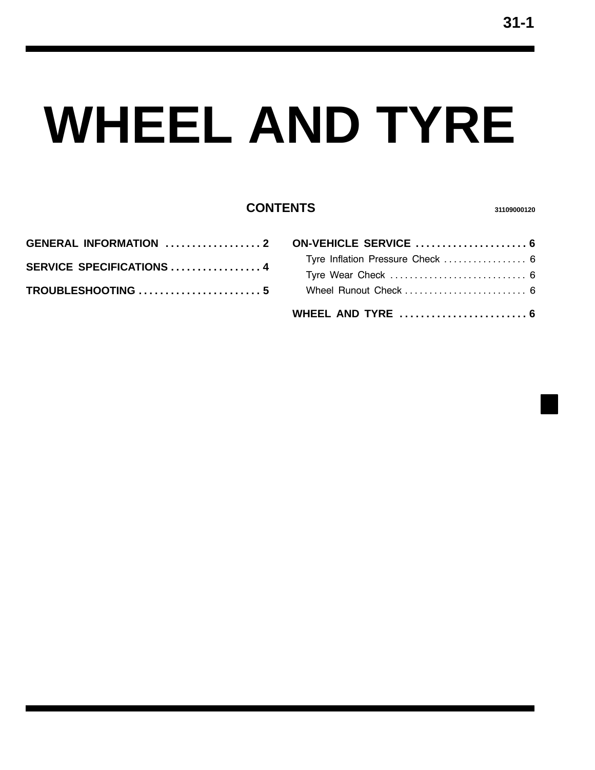# **WHEEL AND TYRE**

## **CONTENTS <sup>31109000120</sup>**

| SERVICE SPECIFICATIONS  4 |  |
|---------------------------|--|
|                           |  |
|                           |  |
|                           |  |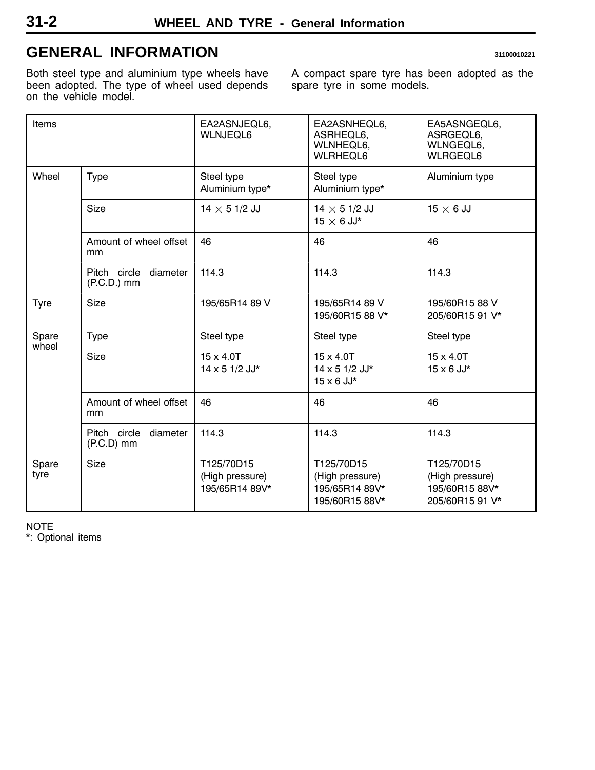# <span id="page-1-0"></span>**GENERAL INFORMATION 31100010221**

Both steel type and aluminium type wheels have been adopted. The type of wheel used depends on the vehicle model.

A compact spare tyre has been adopted as the spare tyre in some models.

| Items         |                                           | EA2ASNJEQL6,<br><b>WLNJEQL6</b>                 | EA2ASNHEQL6,<br>ASRHEQL6,<br><b>WLNHEQL6,</b><br><b>WLRHEQL6</b>  | EA5ASNGEQL6,<br>ASRGEQL6,<br>WLNGEQL6,<br><b>WLRGEQL6</b>          |
|---------------|-------------------------------------------|-------------------------------------------------|-------------------------------------------------------------------|--------------------------------------------------------------------|
| Wheel         | Type                                      | Steel type<br>Aluminium type*                   | Steel type<br>Aluminium type*                                     | Aluminium type                                                     |
|               | <b>Size</b>                               | 14 $\times$ 5 1/2 JJ                            | $14 \times 51/2$ JJ<br>$15 \times 6$ JJ*                          | $15 \times 6$ JJ                                                   |
|               | Amount of wheel offset<br>mm              | 46                                              | 46                                                                | 46                                                                 |
|               | Pitch circle<br>diameter<br>$(P.C.D.)$ mm | 114.3                                           | 114.3                                                             | 114.3                                                              |
| Tyre          | Size                                      | 195/65R14 89 V                                  | 195/65R14 89 V<br>195/60R15 88 V*                                 | 195/60R15 88 V<br>205/60R15 91 V*                                  |
| Spare         | <b>Type</b>                               | Steel type                                      | Steel type                                                        | Steel type                                                         |
| wheel         | Size                                      | $15 \times 4.0$ T<br>14 x 5 1/2 JJ*             | $15 \times 4.0$ T<br>14 x 5 1/2 JJ*<br>$15 \times 6$ JJ*          | $15 \times 4.0$ T<br>$15 \times 6$ JJ*                             |
|               | Amount of wheel offset<br>mm              | 46                                              | 46                                                                | 46                                                                 |
|               | Pitch circle<br>diameter<br>$(P.C.D)$ mm  | 114.3                                           | 114.3                                                             | 114.3                                                              |
| Spare<br>tyre | <b>Size</b>                               | T125/70D15<br>(High pressure)<br>195/65R14 89V* | T125/70D15<br>(High pressure)<br>195/65R14 89V*<br>195/60R15 88V* | T125/70D15<br>(High pressure)<br>195/60R15 88V*<br>205/60R15 91 V* |

NOTE

\*: Optional items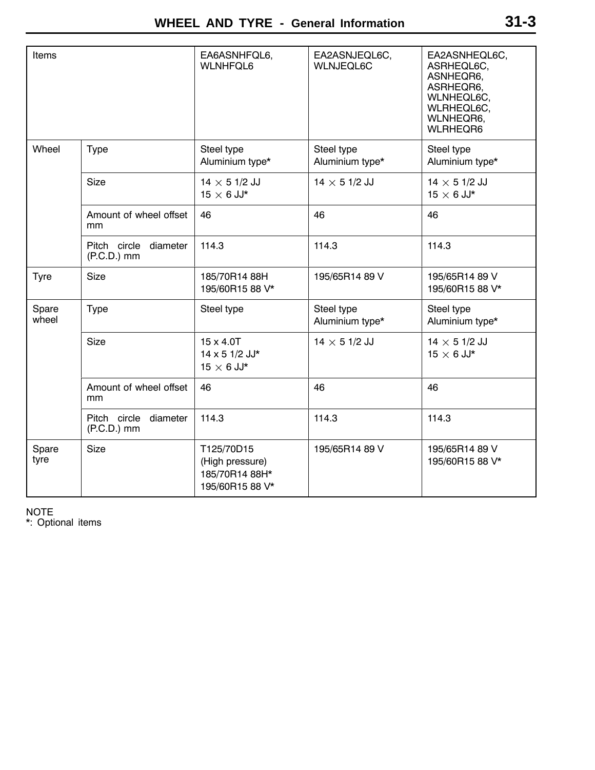| Items          |                                        | EA6ASNHFQL6,<br><b>WLNHFQL6</b>                                    | EA2ASNJEQL6C,<br><b>WLNJEQL6C</b> | EA2ASNHEQL6C,<br>ASRHEQL6C,<br>ASNHEQR6,<br>ASRHEQR6,<br>WLNHEQL6C,<br>WLRHEQL6C,<br>WLNHEQR6,<br><b>WLRHEQR6</b> |
|----------------|----------------------------------------|--------------------------------------------------------------------|-----------------------------------|-------------------------------------------------------------------------------------------------------------------|
| Wheel          | Type                                   | Steel type<br>Aluminium type*                                      | Steel type<br>Aluminium type*     | Steel type<br>Aluminium type*                                                                                     |
|                | Size                                   | $14 \times 51/2$ JJ<br>$15 \times 6$ JJ*                           | 14 $\times$ 5 1/2 JJ              | $14 \times 51/2$ JJ<br>$15 \times 6$ JJ*                                                                          |
|                | Amount of wheel offset<br>mm           | 46                                                                 | 46                                | 46                                                                                                                |
|                | Pitch circle diameter<br>$(P.C.D.)$ mm | 114.3                                                              | 114.3                             | 114.3                                                                                                             |
| <b>Tyre</b>    | Size                                   | 185/70R14 88H<br>195/60R15 88 V*                                   | 195/65R14 89 V                    | 195/65R14 89 V<br>195/60R15 88 V*                                                                                 |
| Spare<br>wheel | <b>Type</b>                            | Steel type                                                         | Steel type<br>Aluminium type*     | Steel type<br>Aluminium type*                                                                                     |
|                | Size                                   | $15 \times 4.0$ T<br>14 x 5 1/2 JJ*<br>$15 \times 6$ JJ*           | 14 $\times$ 5 1/2 JJ              | $14 \times 51/2$ JJ<br>$15 \times 6$ JJ*                                                                          |
|                | Amount of wheel offset<br>mm           | 46                                                                 | 46                                | 46                                                                                                                |
|                | Pitch circle diameter<br>$(P.C.D.)$ mm | 114.3                                                              | 114.3                             | 114.3                                                                                                             |
| Spare<br>tyre  | <b>Size</b>                            | T125/70D15<br>(High pressure)<br>185/70R14 88H*<br>195/60R15 88 V* | 195/65R14 89 V                    | 195/65R14 89 V<br>195/60R15 88 V*                                                                                 |

NOTE

\*: Optional items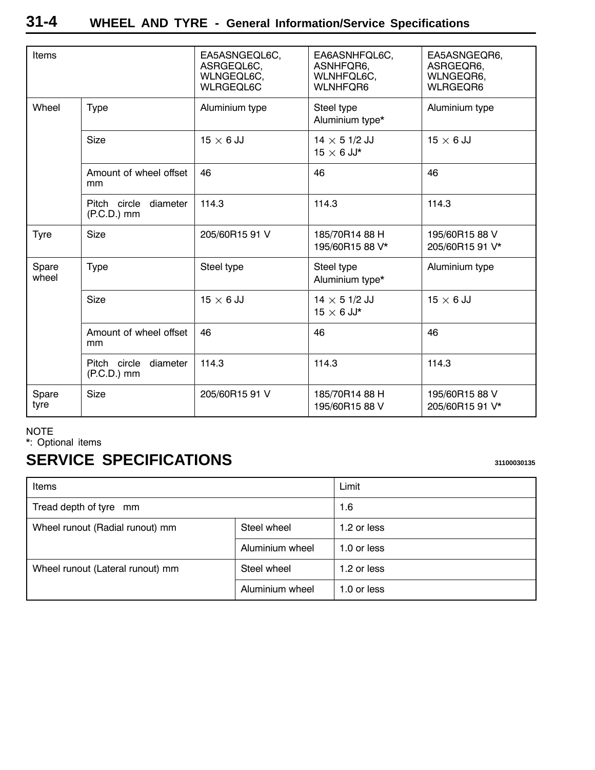<span id="page-3-0"></span>

| Items          |                                           | EA5ASNGEQL6C,<br>ASRGEQL6C,<br>WLNGEQL6C,<br>WLRGEQL6C | EA6ASNHFQL6C,<br>ASNHFQR6,<br>WLNHFQL6C,<br><b>WLNHFQR6</b> | EA5ASNGEQR6,<br>ASRGEQR6,<br>WLNGEQR6,<br><b>WLRGEQR6</b> |
|----------------|-------------------------------------------|--------------------------------------------------------|-------------------------------------------------------------|-----------------------------------------------------------|
| Wheel          | <b>Type</b>                               | Aluminium type                                         | Steel type<br>Aluminium type*                               | Aluminium type                                            |
|                | Size                                      | $15 \times 6$ JJ                                       | $14 \times 51/2$ JJ<br>$15 \times 6$ JJ*                    | $15 \times 6$ JJ                                          |
|                | Amount of wheel offset<br>mm              | 46                                                     | 46                                                          | 46                                                        |
|                | Pitch circle<br>diameter<br>$(P.C.D.)$ mm | 114.3                                                  | 114.3                                                       | 114.3                                                     |
| Tyre           | <b>Size</b>                               | 205/60R15 91 V                                         | 185/70R14 88 H<br>195/60R15 88 V*                           | 195/60R15 88 V<br>205/60R15 91 V*                         |
| Spare<br>wheel | <b>Type</b>                               | Steel type                                             | Steel type<br>Aluminium type*                               | Aluminium type                                            |
|                | Size                                      | $15 \times 6$ JJ                                       | $14 \times 51/2$ JJ<br>$15 \times 6$ JJ*                    | $15 \times 6$ JJ                                          |
|                | Amount of wheel offset<br>mm              | 46                                                     | 46                                                          | 46                                                        |
|                | Pitch circle<br>diameter<br>$(P.C.D.)$ mm | 114.3                                                  | 114.3                                                       | 114.3                                                     |
| Spare<br>tyre  | Size                                      | 205/60R15 91 V                                         | 185/70R14 88 H<br>195/60R15 88 V                            | 195/60R15 88 V<br>205/60R15 91 V*                         |

#### NOTE

\*: Optional items

# **SERVICE SPECIFICATIONS SERVICE SPECIFICATIONS**

| Items                                          |                 | Limit       |  |
|------------------------------------------------|-----------------|-------------|--|
| Tread depth of tyre mm                         |                 | 1.6         |  |
| Steel wheel<br>Wheel runout (Radial runout) mm |                 | 1.2 or less |  |
|                                                | Aluminium wheel | 1.0 or less |  |
| Wheel runout (Lateral runout) mm               | Steel wheel     | 1.2 or less |  |
|                                                | Aluminium wheel | 1.0 or less |  |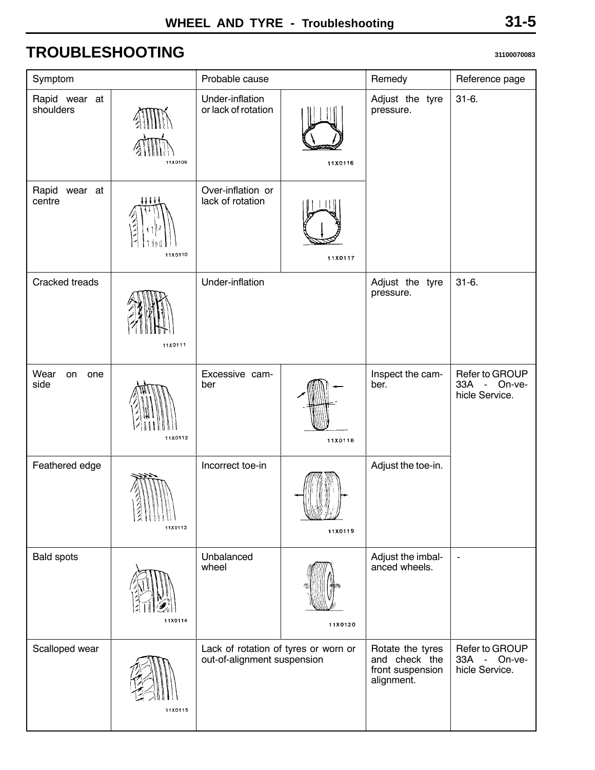# <span id="page-4-0"></span>**TROUBLESHOOTING <sup>31100070083</sup>**

| Symptom                    |         | Probable cause                                                      |         | Remedy                                                              | Reference page                                                      |
|----------------------------|---------|---------------------------------------------------------------------|---------|---------------------------------------------------------------------|---------------------------------------------------------------------|
| Rapid wear at<br>shoulders | 11X0109 | Under-inflation<br>or lack of rotation                              | 11X0116 | Adjust the tyre<br>pressure.                                        | $31-6.$                                                             |
| Rapid wear at<br>centre    | 11X0110 | Over-inflation or<br>lack of rotation                               | 11X0117 |                                                                     |                                                                     |
| Cracked treads             | 11X0111 | Under-inflation                                                     |         | Adjust the tyre<br>pressure.                                        | $31-6.$                                                             |
| Wear<br>on<br>one<br>side  | 11X0112 | Excessive cam-<br>ber                                               | 11X0118 | Inspect the cam-<br>ber.                                            | Refer to GROUP<br>33A<br>On-ve-<br>$\omega$<br>hicle Service.       |
| Feathered edge             | 11X0113 | Incorrect toe-in                                                    | 11X0119 | Adjust the toe-in.                                                  |                                                                     |
| <b>Bald spots</b>          | 11X0114 | Unbalanced<br>wheel                                                 | 11X0120 | Adjust the imbal-<br>anced wheels.                                  | $\blacksquare$                                                      |
| Scalloped wear             | 11X0115 | Lack of rotation of tyres or worn or<br>out-of-alignment suspension |         | Rotate the tyres<br>and check the<br>front suspension<br>alignment. | Refer to GROUP<br>33A<br>On-ve-<br>$\overline{a}$<br>hicle Service. |